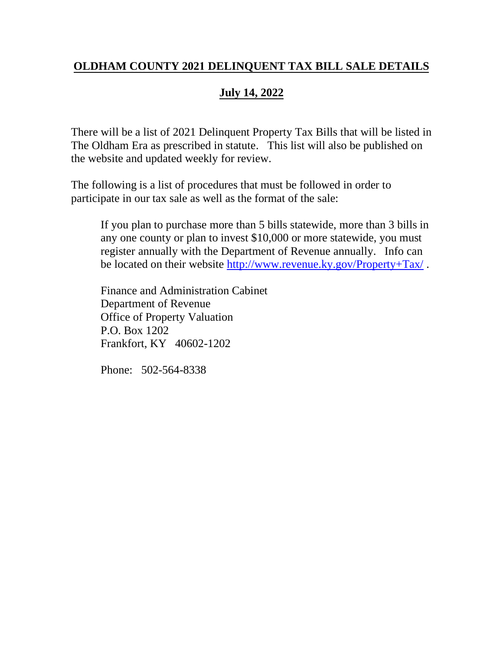### **OLDHAM COUNTY 2021 DELINQUENT TAX BILL SALE DETAILS**

# **July 14, 2022**

There will be a list of 2021 Delinquent Property Tax Bills that will be listed in The Oldham Era as prescribed in statute. This list will also be published on the website and updated weekly for review.

The following is a list of procedures that must be followed in order to participate in our tax sale as well as the format of the sale:

If you plan to purchase more than 5 bills statewide, more than 3 bills in any one county or plan to invest \$10,000 or more statewide, you must register annually with the Department of Revenue annually. Info can be located on their website<http://www.revenue.ky.gov/Property+Tax/> .

Finance and Administration Cabinet Department of Revenue Office of Property Valuation P.O. Box 1202 Frankfort, KY 40602-1202

Phone: 502-564-8338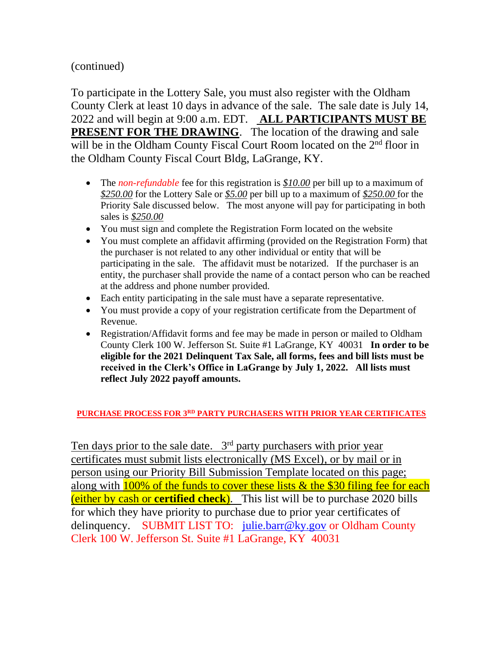(continued)

To participate in the Lottery Sale, you must also register with the Oldham County Clerk at least 10 days in advance of the sale. The sale date is July 14, 2022 and will begin at 9:00 a.m. EDT. **ALL PARTICIPANTS MUST BE PRESENT FOR THE DRAWING**. The location of the drawing and sale will be in the Oldham County Fiscal Court Room located on the 2<sup>nd</sup> floor in the Oldham County Fiscal Court Bldg, LaGrange, KY.

- The *non-refundable* fee for this registration is \$10.00 per bill up to a maximum of *\$250.00* for the Lottery Sale or *\$5.00* per bill up to a maximum of *\$250.00* for the Priority Sale discussed below. The most anyone will pay for participating in both sales is *\$250.00*
- You must sign and complete the Registration Form located on the website
- You must complete an affidavit affirming (provided on the Registration Form) that the purchaser is not related to any other individual or entity that will be participating in the sale. The affidavit must be notarized. If the purchaser is an entity, the purchaser shall provide the name of a contact person who can be reached at the address and phone number provided.
- Each entity participating in the sale must have a separate representative.
- You must provide a copy of your registration certificate from the Department of Revenue.
- Registration/Affidavit forms and fee may be made in person or mailed to Oldham County Clerk 100 W. Jefferson St. Suite #1 LaGrange, KY 40031 **In order to be eligible for the 2021 Delinquent Tax Sale, all forms, fees and bill lists must be received in the Clerk's Office in LaGrange by July 1, 2022. All lists must reflect July 2022 payoff amounts.**

**PURCHASE PROCESS FOR 3RD PARTY PURCHASERS WITH PRIOR YEAR CERTIFICATES**

Ten days prior to the sale date. 3<sup>rd</sup> party purchasers with prior year certificates must submit lists electronically (MS Excel), or by mail or in person using our Priority Bill Submission Template located on this page; along with  $100\%$  of the funds to cover these lists  $\&$  the \$30 filing fee for each (either by cash or **certified check**). This list will be to purchase 2020 bills for which they have priority to purchase due to prior year certificates of delinquency. SUBMIT LIST TO: [julie.barr@ky.gov](mailto:julie.barr@ky.gov) or Oldham County Clerk 100 W. Jefferson St. Suite #1 LaGrange, KY 40031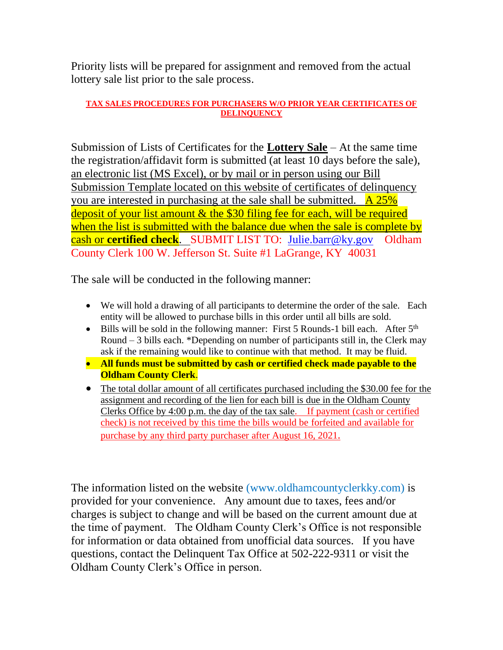Priority lists will be prepared for assignment and removed from the actual lottery sale list prior to the sale process.

#### **TAX SALES PROCEDURES FOR PURCHASERS W/O PRIOR YEAR CERTIFICATES OF DELINQUENCY**

Submission of Lists of Certificates for the **Lottery Sale** – At the same time the registration/affidavit form is submitted (at least 10 days before the sale), an electronic list (MS Excel), or by mail or in person using our Bill Submission Template located on this website of certificates of delinquency you are interested in purchasing at the sale shall be submitted.  $\overline{A 25\%}$ deposit of your list amount & the \$30 filing fee for each, will be required when the list is submitted with the balance due when the sale is complete by cash or **certified check**. SUBMIT LIST TO: [Julie.barr@ky.gov](mailto:Julie.barr@ky.gov) Oldham County Clerk 100 W. Jefferson St. Suite #1 LaGrange, KY 40031

The sale will be conducted in the following manner:

- We will hold a drawing of all participants to determine the order of the sale. Each entity will be allowed to purchase bills in this order until all bills are sold.
- Bills will be sold in the following manner: First 5 Rounds-1 bill each. After  $5<sup>th</sup>$ Round – 3 bills each. \*Depending on number of participants still in, the Clerk may ask if the remaining would like to continue with that method. It may be fluid.
- **All funds must be submitted by cash or certified check made payable to the Oldham County Clerk**.
- The total dollar amount of all certificates purchased including the \$30.00 fee for the assignment and recording of the lien for each bill is due in the Oldham County Clerks Office by 4:00 p.m. the day of the tax sale. If payment (cash or certified check) is not received by this time the bills would be forfeited and available for purchase by any third party purchaser after August 16, 2021.

The information listed on the website (www.oldhamcountyclerkky.com) is provided for your convenience. Any amount due to taxes, fees and/or charges is subject to change and will be based on the current amount due at the time of payment. The Oldham County Clerk's Office is not responsible for information or data obtained from unofficial data sources. If you have questions, contact the Delinquent Tax Office at 502-222-9311 or visit the Oldham County Clerk's Office in person.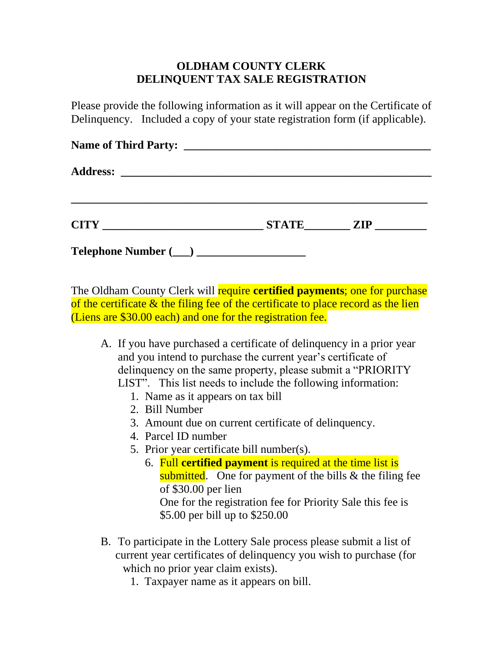### **OLDHAM COUNTY CLERK DELINQUENT TAX SALE REGISTRATION**

Please provide the following information as it will appear on the Certificate of Delinquency. Included a copy of your state registration form (if applicable).

| <b>Name of Third Party:</b> |              |            |
|-----------------------------|--------------|------------|
|                             |              |            |
| <b>CITY</b>                 | <b>STATE</b> | <b>ZIP</b> |
|                             |              |            |

The Oldham County Clerk will require **certified payments**; one for purchase of the certificate & the filing fee of the certificate to place record as the lien (Liens are \$30.00 each) and one for the registration fee.

- A. If you have purchased a certificate of delinquency in a prior year and you intend to purchase the current year's certificate of delinquency on the same property, please submit a "PRIORITY LIST". This list needs to include the following information:
	- 1. Name as it appears on tax bill
	- 2. Bill Number
	- 3. Amount due on current certificate of delinquency.
	- 4. Parcel ID number
	- 5. Prior year certificate bill number(s).
		- 6. Full **certified payment** is required at the time list is submitted. One for payment of the bills  $\&$  the filing fee of \$30.00 per lien One for the registration fee for Priority Sale this fee is \$5.00 per bill up to \$250.00
- B. To participate in the Lottery Sale process please submit a list of current year certificates of delinquency you wish to purchase (for which no prior year claim exists).
	- 1. Taxpayer name as it appears on bill.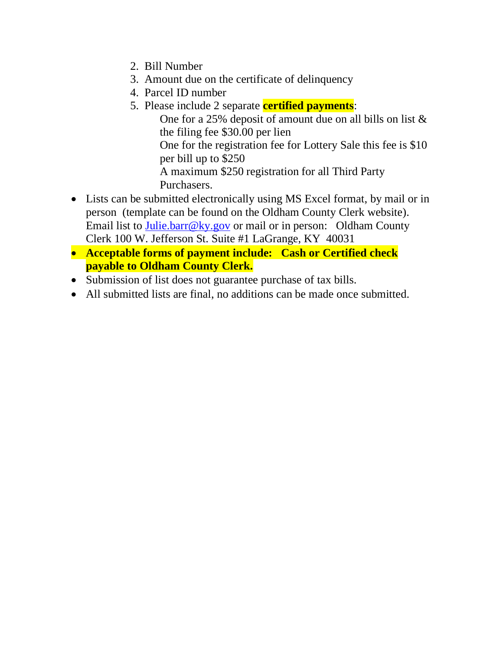- 2. Bill Number
- 3. Amount due on the certificate of delinquency
- 4. Parcel ID number
- 5. Please include 2 separate **certified payments**: One for a 25% deposit of amount due on all bills on list & the filing fee \$30.00 per lien One for the registration fee for Lottery Sale this fee is \$10 per bill up to \$250 A maximum \$250 registration for all Third Party Purchasers.
- Lists can be submitted electronically using MS Excel format, by mail or in person (template can be found on the Oldham County Clerk website). Email list to [Julie.barr@ky.gov](mailto:Julie.barr@ky.gov) or mail or in person: Oldham County Clerk 100 W. Jefferson St. Suite #1 LaGrange, KY 40031
- **Acceptable forms of payment include: Cash or Certified check payable to Oldham County Clerk.**
- Submission of list does not guarantee purchase of tax bills.
- All submitted lists are final, no additions can be made once submitted.